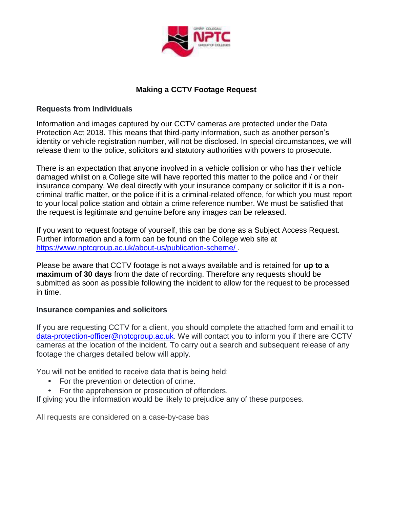

## **Making a CCTV Footage Request**

### **Requests from Individuals**

Information and images captured by our CCTV cameras are protected under the Data Protection Act 2018. This means that third-party information, such as another person's identity or vehicle registration number, will not be disclosed. In special circumstances, we will release them to the police, solicitors and statutory authorities with powers to prosecute.

There is an expectation that anyone involved in a vehicle collision or who has their vehicle damaged whilst on a College site will have reported this matter to the police and / or their insurance company. We deal directly with your insurance company or solicitor if it is a noncriminal traffic matter, or the police if it is a criminal-related offence, for which you must report to your local police station and obtain a crime reference number. We must be satisfied that the request is legitimate and genuine before any images can be released.

If you want to request footage of yourself, this can be done as a Subject Access Request. Further information and a form can be found on the College web site at <https://www.nptcgroup.ac.uk/about-us/publication-scheme/> .

Please be aware that CCTV footage is not always available and is retained for **up to a maximum of 30 days** from the date of recording. Therefore any requests should be submitted as soon as possible following the incident to allow for the request to be processed in time.

### **Insurance companies and solicitors**

If you are requesting CCTV for a client, you should complete the attached form and email it to [data-protection-officer@nptcgroup.ac.uk.](mailto:data-protection-officer@nptcgroup.ac.uk) We will contact you to inform you if there are CCTV cameras at the location of the incident. To carry out a search and subsequent release of any footage the charges detailed below will apply.

You will not be entitled to receive data that is being held:

- For the prevention or detection of crime.
- For the apprehension or prosecution of offenders.

If giving you the information would be likely to prejudice any of these purposes.

All requests are considered on a case-by-case bas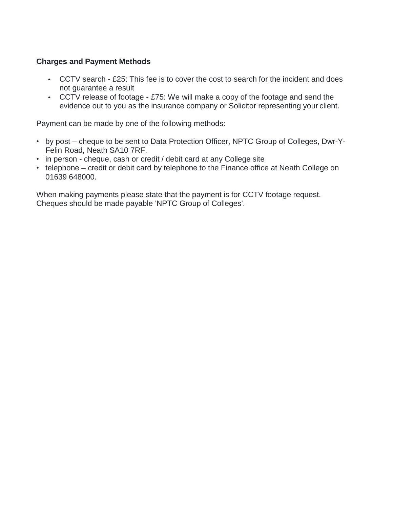### **Charges and Payment Methods**

- CCTV search £25: This fee is to cover the cost to search for the incident and does not guarantee a result
- CCTV release of footage £75: We will make a copy of the footage and send the evidence out to you as the insurance company or Solicitor representing your client.

Payment can be made by one of the following methods:

- by post cheque to be sent to Data Protection Officer, NPTC Group of Colleges, Dwr-Y-Felin Road, Neath SA10 7RF.
- in person cheque, cash or credit / debit card at any College site
- telephone credit or debit card by telephone to the Finance office at Neath College on 01639 648000.

When making payments please state that the payment is for CCTV footage request. Cheques should be made payable 'NPTC Group of Colleges'.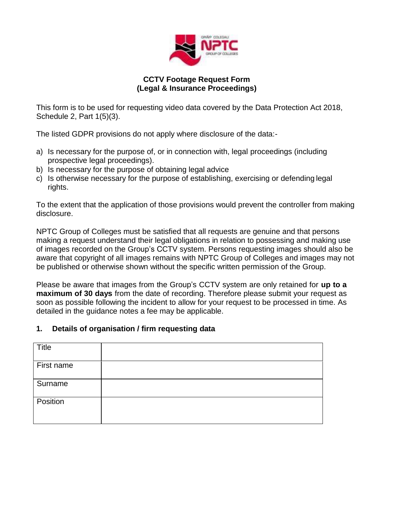

### **CCTV Footage Request Form (Legal & Insurance Proceedings)**

This form is to be used for requesting video data covered by the Data Protection Act 2018, Schedule 2, Part 1(5)(3).

The listed GDPR provisions do not apply where disclosure of the data:-

- a) Is necessary for the purpose of, or in connection with, legal proceedings (including prospective legal proceedings).
- b) Is necessary for the purpose of obtaining legal advice
- c) Is otherwise necessary for the purpose of establishing, exercising or defending legal rights.

To the extent that the application of those provisions would prevent the controller from making disclosure.

NPTC Group of Colleges must be satisfied that all requests are genuine and that persons making a request understand their legal obligations in relation to possessing and making use of images recorded on the Group's CCTV system. Persons requesting images should also be aware that copyright of all images remains with NPTC Group of Colleges and images may not be published or otherwise shown without the specific written permission of the Group.

Please be aware that images from the Group's CCTV system are only retained for **up to a maximum of 30 days** from the date of recording. Therefore please submit your request as soon as possible following the incident to allow for your request to be processed in time. As detailed in the guidance notes a fee may be applicable.

### **1. Details of organisation / firm requesting data**

| <b>Title</b> |  |
|--------------|--|
| First name   |  |
| Surname      |  |
| Position     |  |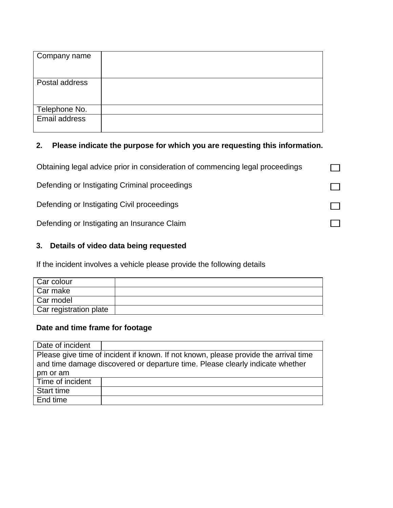| Company name   |  |
|----------------|--|
| Postal address |  |
| Telephone No.  |  |
| Email address  |  |

# **2. Please indicate the purpose for which you are requesting this information.**

| Obtaining legal advice prior in consideration of commencing legal proceedings |  |
|-------------------------------------------------------------------------------|--|
| Defending or Instigating Criminal proceedings                                 |  |
| Defending or Instigating Civil proceedings                                    |  |
| Defending or Instigating an Insurance Claim                                   |  |

# **3. Details of video data being requested**

If the incident involves a vehicle please provide the following details

| Car colour             |  |
|------------------------|--|
| Car make               |  |
| Car model              |  |
| Car registration plate |  |

## **Date and time frame for footage**

| Date of incident                                                                                                                                                      |  |
|-----------------------------------------------------------------------------------------------------------------------------------------------------------------------|--|
| Please give time of incident if known. If not known, please provide the arrival time<br>and time damage discovered or departure time. Please clearly indicate whether |  |
| pm or am                                                                                                                                                              |  |
| Time of incident                                                                                                                                                      |  |
| Start time                                                                                                                                                            |  |
| End time                                                                                                                                                              |  |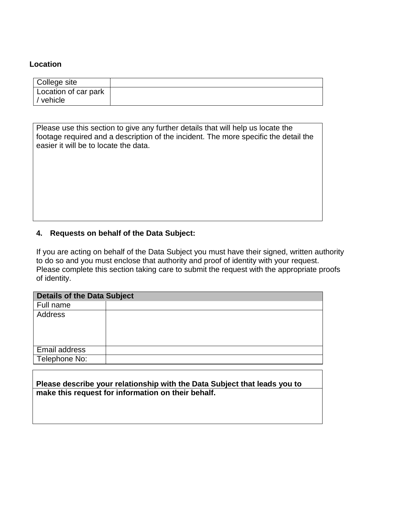#### **Location**

| College site                      |  |
|-----------------------------------|--|
| Location of car park<br>/ vehicle |  |

Please use this section to give any further details that will help us locate the footage required and a description of the incident. The more specific the detail the easier it will be to locate the data.

### **4. Requests on behalf of the Data Subject:**

If you are acting on behalf of the Data Subject you must have their signed, written authority to do so and you must enclose that authority and proof of identity with your request. Please complete this section taking care to submit the request with the appropriate proofs of identity.

| <b>Details of the Data Subject</b> |  |  |
|------------------------------------|--|--|
| Full name                          |  |  |
| Address                            |  |  |
|                                    |  |  |
|                                    |  |  |
| Email address                      |  |  |
| Telephone No:                      |  |  |

**Please describe your relationship with the Data Subject that leads you to make this request for information on their behalf.**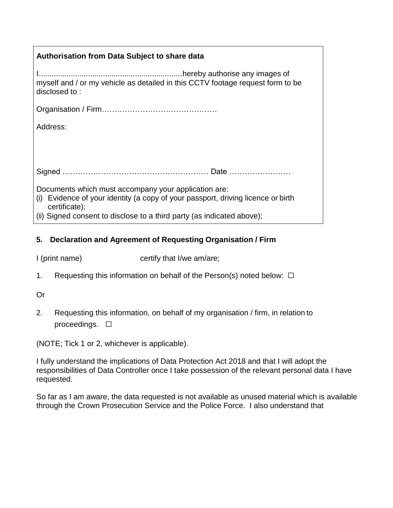## **Authorisation from Data Subject to share data**

I...................................................................hereby authorise any images of myself and / or my vehicle as detailed in this CCTV footage request form to be disclosed to :

Organisation / Firm………………………………………

Address:

Signed ………………………………………………… Date ……………………

Documents which must accompany your application are:

(i) Evidence of your identity (a copy of your passport, driving licence or birth certificate);

(ii) Signed consent to disclose to a third party (as indicated above);

## **5. Declaration and Agreement of Requesting Organisation / Firm**

I (print name) certify that I/we am/are;

1. Requesting this information on behalf of the Person(s) noted below:  $\Box$ 

Or

2. Requesting this information, on behalf of my organisation / firm, in relation to proceedings.  $□$ 

(NOTE; Tick 1 or 2, whichever is applicable).

I fully understand the implications of Data Protection Act 2018 and that I will adopt the responsibilities of Data Controller once I take possession of the relevant personal data I have requested.

So far as I am aware, the data requested is not available as unused material which is available through the Crown Prosecution Service and the Police Force. I also understand that